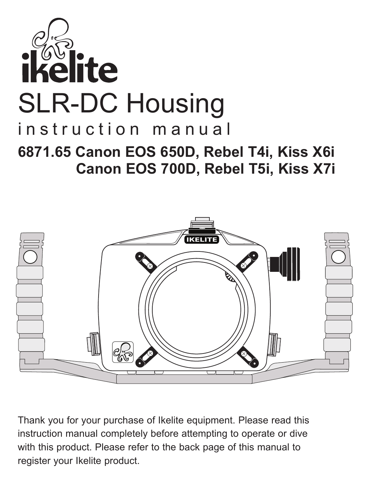



Thank you for your purchase of Ikelite equipment. Please read this instruction manual completely before attempting to operate or dive with this product. Please refer to the back page of this manual to register your Ikelite product.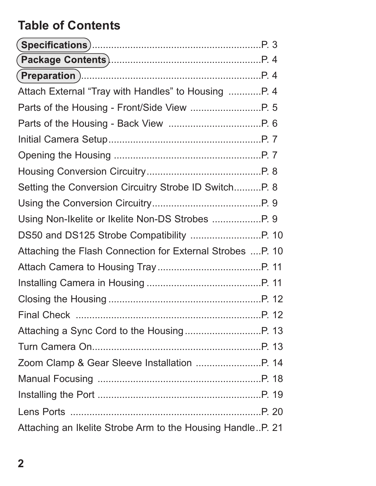# **Table of Contents**

| Attach External "Tray with Handles" to Housing P. 4        |  |
|------------------------------------------------------------|--|
|                                                            |  |
|                                                            |  |
|                                                            |  |
|                                                            |  |
|                                                            |  |
| Setting the Conversion Circuitry Strobe ID SwitchP. 8      |  |
|                                                            |  |
|                                                            |  |
|                                                            |  |
| Attaching the Flash Connection for External Strobes P. 10  |  |
|                                                            |  |
|                                                            |  |
|                                                            |  |
|                                                            |  |
|                                                            |  |
|                                                            |  |
|                                                            |  |
|                                                            |  |
|                                                            |  |
|                                                            |  |
| Attaching an Ikelite Strobe Arm to the Housing HandleP. 21 |  |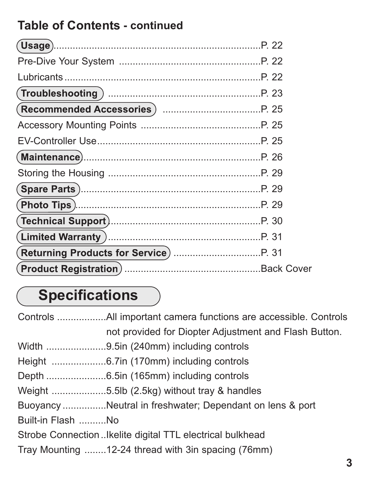# **Table of Contents - continued**

| (Maintenance)……………………………………………………………P. 26  |  |
|--------------------------------------------|--|
|                                            |  |
| (Spare Parts )……………………………………………………………P. 29 |  |
|                                            |  |
|                                            |  |
|                                            |  |
|                                            |  |
|                                            |  |

# **Specifications**

|                   | not provided for Diopter Adjustment and Flash Button.     |
|-------------------|-----------------------------------------------------------|
|                   |                                                           |
|                   |                                                           |
|                   |                                                           |
|                   | Weight 5.5lb (2.5kg) without tray & handles               |
|                   | Buoyancy Neutral in freshwater; Dependant on lens & port  |
| Built-in Flash No |                                                           |
|                   | Strobe Connection Ikelite digital TTL electrical bulkhead |
|                   | Tray Mounting 12-24 thread with 3in spacing (76mm)        |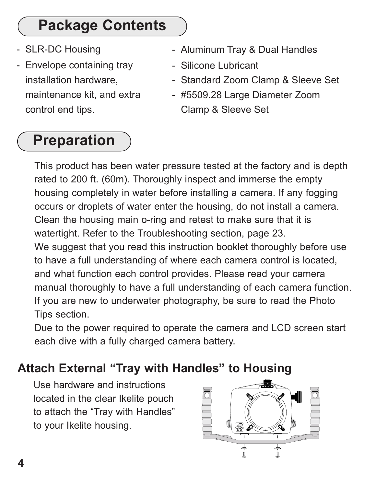# **Package Contents**

- SLR-DC Housing
- Envelope containing tray installation hardware, maintenance kit, and extra control end tips.

# **Preparation**

- Aluminum Tray & Dual Handles
- Silicone Lubricant
- Standard Zoom Clamp & Sleeve Set
- #5509.28 Large Diameter Zoom Clamp & Sleeve Set

This product has been water pressure tested at the factory and is depth rated to 200 ft. (60m). Thoroughly inspect and immerse the empty housing completely in water before installing a camera. If any fogging occurs or droplets of water enter the housing, do not install a camera. Clean the housing main o-ring and retest to make sure that it is watertight. Refer to the Troubleshooting section, page 23. We suggest that you read this instruction booklet thoroughly before use to have a full understanding of where each camera control is located, and what function each control provides. Please read your camera manual thoroughly to have a full understanding of each camera function. If you are new to underwater photography, be sure to read the Photo Tips section.

Due to the power required to operate the camera and LCD screen start each dive with a fully charged camera battery.

# **Attach External "Tray with Handles" to Housing**

Use hardware and instructions located in the clear Ikelite pouch to attach the "Tray with Handles" to your Ikelite housing.

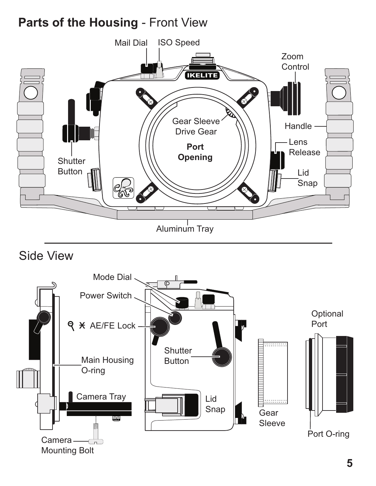## **Parts of the Housing** - Front View



Side View

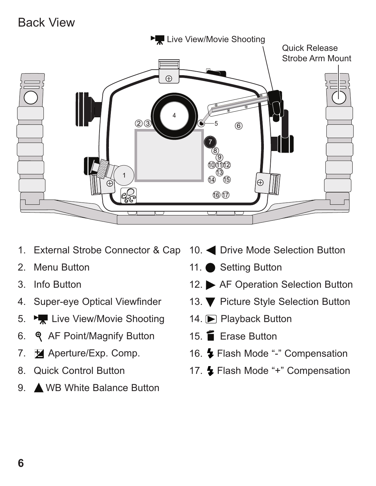#### Back View



- 1. External Strobe Connector & Cap
- 2. Menu Button
- 3. Info Button
- 4. Super-eye Optical Viewfinder
- 5. Ez Live View/Movie Shooting
- 6. **Q** AF Point/Magnify Button
- 7. **Aperture/Exp. Comp.**
- 8. Quick Control Button
- 9. A WB White Balance Button
- 10. **Only Drive Mode Selection Button**
- 11. Setting Button
- 12. AF Operation Selection Button
- 13. ▼ Picture Style Selection Button
- 14. Playback Button
- 15. Erase Button
- 16. Flash Mode "-" Compensation
- 17. Flash Mode "+" Compensation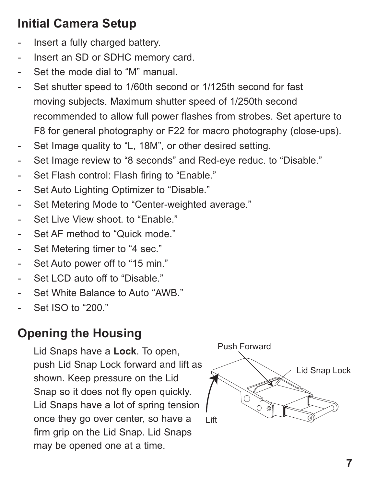# **Initial Camera Setup**

- Insert a fully charged battery.
- Insert an SD or SDHC memory card.
- Set the mode dial to "M" manual.
- Set shutter speed to 1/60th second or 1/125th second for fast moving subjects. Maximum shutter speed of 1/250th second recommended to allow full power flashes from strobes. Set aperture to F8 for general photography or F22 for macro photography (close-ups).
- Set Image quality to "L, 18M", or other desired setting.
- Set Image review to "8 seconds" and Red-eye reduc. to "Disable."
- Set Flash control: Flash firing to "Enable."
- Set Auto Lighting Optimizer to "Disable."
- Set Metering Mode to "Center-weighted average."
- Set Live View shoot, to "Enable."
- Set AF method to "Quick mode."
- Set Metering timer to "4 sec."
- Set Auto power off to "15 min."
- Set LCD auto off to "Disable."
- Set White Balance to Auto "AWB."
- Set ISO to "200."

# **Opening the Housing**

Lid Snaps have a **Lock**. To open, push Lid Snap Lock forward and lift as shown. Keep pressure on the Lid Snap so it does not fly open quickly. Lid Snaps have a lot of spring tension once they go over center, so have a firm grip on the Lid Snap. Lid Snaps may be opened one at a time.

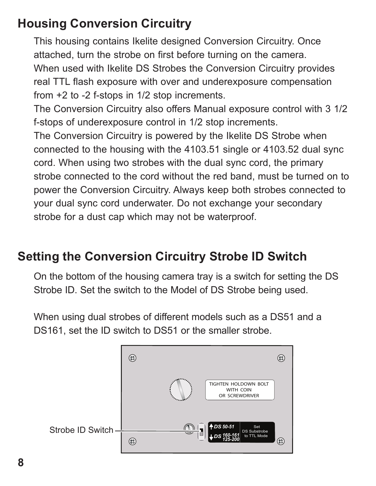## **Housing Conversion Circuitry**

This housing contains Ikelite designed Conversion Circuitry. Once attached, turn the strobe on first before turning on the camera. When used with Ikelite DS Strobes the Conversion Circuitry provides real TTL flash exposure with over and underexposure compensation from +2 to -2 f-stops in 1/2 stop increments.

The Conversion Circuitry also offers Manual exposure control with 3 1/2 f-stops of underexposure control in 1/2 stop increments.

The Conversion Circuitry is powered by the Ikelite DS Strobe when connected to the housing with the 4103.51 single or 4103.52 dual sync cord. When using two strobes with the dual sync cord, the primary strobe connected to the cord without the red band, must be turned on to power the Conversion Circuitry. Always keep both strobes connected to your dual sync cord underwater. Do not exchange your secondary strobe for a dust cap which may not be waterproof.

## **Setting the Conversion Circuitry Strobe ID Switch**

On the bottom of the housing camera tray is a switch for setting the DS Strobe ID. Set the switch to the Model of DS Strobe being used.

When using dual strobes of different models such as a DS51 and a DS161, set the ID switch to DS51 or the smaller strobe.

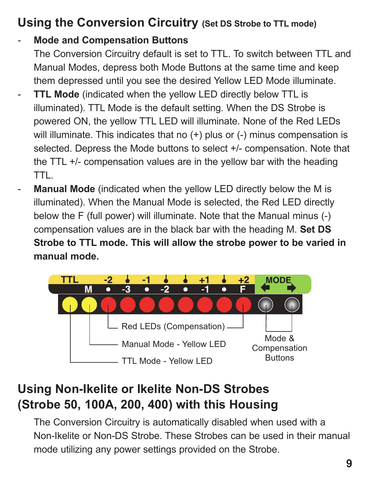# **Using the Conversion Circuitry (Set DS Strobe to TTL mode)**

#### - **Mode and Compensation Buttons**

The Conversion Circuitry default is set to TTL. To switch between TTL and Manual Modes, depress both Mode Buttons at the same time and keep them depressed until you see the desired Yellow LED Mode illuminate.

- **TTL Mode** (indicated when the yellow LED directly below TTL is illuminated). TTL Mode is the default setting. When the DS Strobe is powered ON, the yellow TTL LED will illuminate. None of the Red LEDs will illuminate. This indicates that no  $(+)$  plus or  $(-)$  minus compensation is selected. Depress the Mode buttons to select +/- compensation. Note that the TTL +/- compensation values are in the yellow bar with the heading TTL.
- Manual Mode (indicated when the yellow LED directly below the M is illuminated). When the Manual Mode is selected, the Red LED directly below the F (full power) will illuminate. Note that the Manual minus (-) compensation values are in the black bar with the heading M. **Set DS Strobe to TTL mode. This will allow the strobe power to be varied in manual mode.**



# **Using Non-Ikelite or Ikelite Non-DS Strobes (Strobe 50, 100A, 200, 400) with this Housing**

The Conversion Circuitry is automatically disabled when used with a Non-Ikelite or Non-DS Strobe. These Strobes can be used in their manual mode utilizing any power settings provided on the Strobe.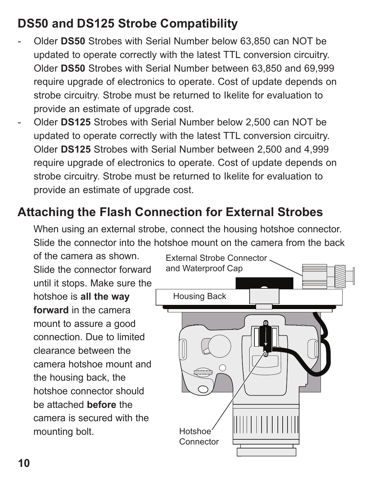# **DS50 and DS125 Strobe Compatibility**

- Older **DS50** Strobes with Serial Number below 63,850 can NOT be updated to operate correctly with the latest TTL conversion circuitry. Older **DS50** Strobes with Serial Number between 63,850 and 69,999 require upgrade of electronics to operate. Cost of update depends on strobe circuitry. Strobe must be returned to Ikelite for evaluation to provide an estimate of upgrade cost.
- Older **DS125** Strobes with Serial Number below 2,500 can NOT be updated to operate correctly with the latest TTL conversion circuitry. Older **DS125** Strobes with Serial Number between 2,500 and 4,999 require upgrade of electronics to operate. Cost of update depends on strobe circuitry. Strobe must be returned to Ikelite for evaluation to provide an estimate of upgrade cost.

### **Attaching the Flash Connection for External Strobes**

When using an external strobe, connect the housing hotshoe connector. Slide the connector into the hotshoe mount on the camera from the back

of the camera as shown. Slide the connector forward until it stops. Make sure the hotshoe is **all the way forward** in the camera mount to assure a good connection. Due to limited clearance between the camera hotshoe mount and the housing back, the hotshoe connector should be attached **before** the camera is secured with the mounting bolt.

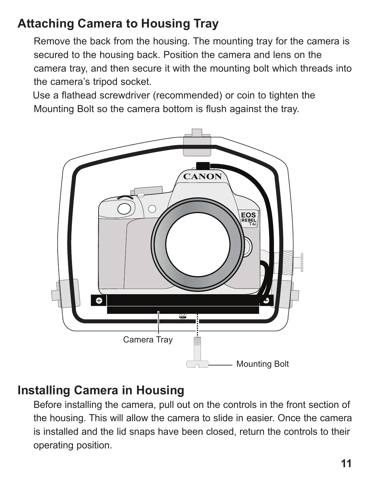# **Attaching Camera to Housing Tray**

Remove the back from the housing. The mounting tray for the camera is secured to the housing back. Position the camera and lens on the camera tray, and then secure it with the mounting bolt which threads into the camera's tripod socket.

Use a flathead screwdriver (recommended) or coin to tighten the Mounting Bolt so the camera bottom is flush against the tray.



#### **Installing Camera in Housing**

Before installing the camera, pull out on the controls in the front section of the housing. This will allow the camera to slide in easier. Once the camera is installed and the lid snaps have been closed, return the controls to their operating position.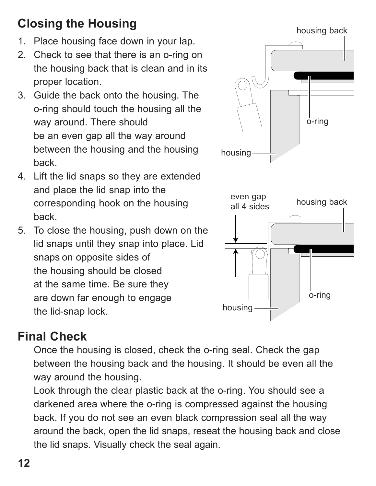# **Closing the Housing**

- 1. Place housing face down in your lap.
- 2. Check to see that there is an o-ring on the housing back that is clean and in its proper location.
- 3. Guide the back onto the housing. The o-ring should touch the housing all the way around. There should be an even gap all the way around between the housing and the housing back.
- 4. Lift the lid snaps so they are extended and place the lid snap into the corresponding hook on the housing back.
- 5. To close the housing, push down on the lid snaps until they snap into place. Lid snaps on opposite sides of the housing should be closed at the same time. Be sure they are down far enough to engage the lid-snap lock.

# **Final Check**

Once the housing is closed, check the o-ring seal. Check the gap between the housing back and the housing. It should be even all the way around the housing.

Look through the clear plastic back at the o-ring. You should see a darkened area where the o-ring is compressed against the housing back. If you do not see an even black compression seal all the way around the back, open the lid snaps, reseat the housing back and close the lid snaps. Visually check the seal again.

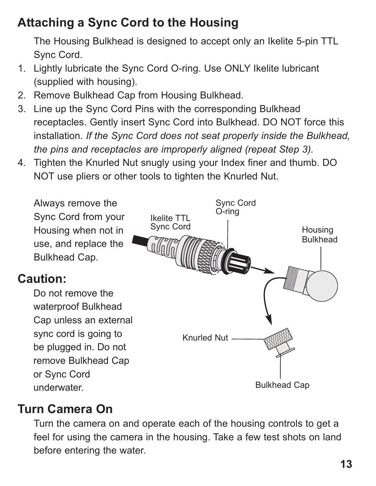# **Attaching a Sync Cord to the Housing**

The Housing Bulkhead is designed to accept only an Ikelite 5-pin TTL Sync Cord.

- 1. Lightly lubricate the Sync Cord O-ring. Use ONLY Ikelite lubricant (supplied with housing).
- 2. Remove Bulkhead Cap from Housing Bulkhead.
- 3. Line up the Sync Cord Pins with the corresponding Bulkhead receptacles. Gently insert Sync Cord into Bulkhead. DO NOT force this installation. *If the Sync Cord does not seat properly inside the Bulkhead, the pins and receptacles are improperly aligned (repeat Step 3).*
- 4. Tighten the Knurled Nut snugly using your Index finer and thumb. DO NOT use pliers or other tools to tighten the Knurled Nut.



### **Turn Camera On**

Turn the camera on and operate each of the housing controls to get a feel for using the camera in the housing. Take a few test shots on land before entering the water.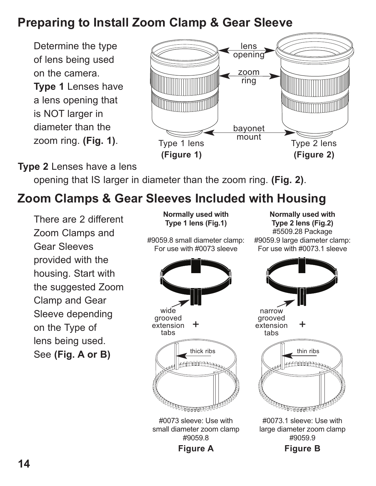## **Preparing to Install Zoom Clamp & Gear Sleeve**

Determine the type of lens being used on the camera.

**Type 1** Lenses have a lens opening that is NOT larger in diameter than the zoom ring. **(Fig. 1)**.



#### **Type 2** Lenses have a lens

opening that IS larger in diameter than the zoom ring. **(Fig. 2)**.

## **Zoom Clamps & Gear Sleeves Included with Housing**

There are 2 different Zoom Clamps and Gear Sleeves provided with the housing. Start with the suggested Zoom Clamp and Gear Sleeve depending on the Type of lens being used. See **(Fig. A or B)**

**Normally used with Type 1 lens (Fig.1)** #9059.8 small diameter clamp:

For use with #0073 sleeve

**Normally used with Type 2 lens (Fig.2)** #5509.28 Package #9059.9 large diameter clamp: For use with #0073.1 sleeve



small diameter zoom clamp #9059.8

**Figure A**

narrow grooved + extension tabs thick ribs  $\sim$   $\parallel$  thin ribs **ANNOUNCA** 

> #0073.1 sleeve: Use with large diameter zoom clamp #9059.9

> > **Figure B**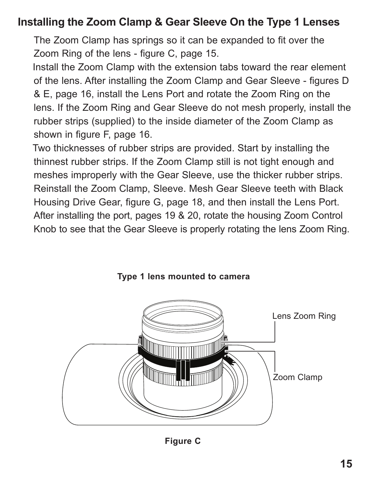#### **Installing the Zoom Clamp & Gear Sleeve On the Type 1 Lenses**

The Zoom Clamp has springs so it can be expanded to fit over the Zoom Ring of the lens - figure C, page 15.

Install the Zoom Clamp with the extension tabs toward the rear element of the lens. After installing the Zoom Clamp and Gear Sleeve - figures D & E, page 16, install the Lens Port and rotate the Zoom Ring on the lens. If the Zoom Ring and Gear Sleeve do not mesh properly, install the rubber strips (supplied) to the inside diameter of the Zoom Clamp as shown in figure F, page 16.

Two thicknesses of rubber strips are provided. Start by installing the thinnest rubber strips. If the Zoom Clamp still is not tight enough and meshes improperly with the Gear Sleeve, use the thicker rubber strips. Reinstall the Zoom Clamp, Sleeve. Mesh Gear Sleeve teeth with Black Housing Drive Gear, figure G, page 18, and then install the Lens Port. After installing the port, pages 19 & 20, rotate the housing Zoom Control Knob to see that the Gear Sleeve is properly rotating the lens Zoom Ring.



**Type 1 lens mounted to camera**

**Figure C**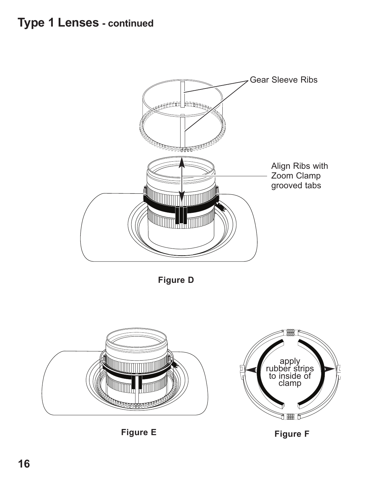

**Figure D**



**Figure E**

**Figure F**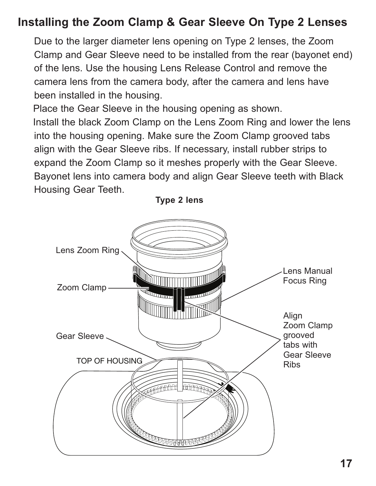#### **Installing the Zoom Clamp & Gear Sleeve On Type 2 Lenses**

Due to the larger diameter lens opening on Type 2 lenses, the Zoom Clamp and Gear Sleeve need to be installed from the rear (bayonet end) of the lens. Use the housing Lens Release Control and remove the camera lens from the camera body, after the camera and lens have been installed in the housing.

 align with the Gear Sleeve ribs. If necessary, install rubber strips to Place the Gear Sleeve in the housing opening as shown. Install the black Zoom Clamp on the Lens Zoom Ring and lower the lens into the housing opening. Make sure the Zoom Clamp grooved tabs expand the Zoom Clamp so it meshes properly with the Gear Sleeve. Bayonet lens into camera body and align Gear Sleeve teeth with Black Housing Gear Teeth.

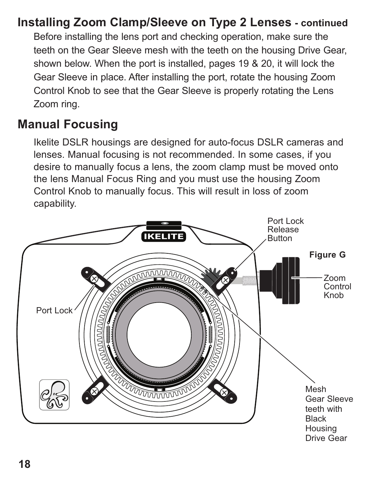### **Installing Zoom Clamp/Sleeve on Type 2 Lenses - continued**

Before installing the lens port and checking operation, make sure the teeth on the Gear Sleeve mesh with the teeth on the housing Drive Gear, shown below. When the port is installed, pages 19 & 20, it will lock the Gear Sleeve in place. After installing the port, rotate the housing Zoom Control Knob to see that the Gear Sleeve is properly rotating the Lens Zoom ring.

#### **Manual Focusing**

Ikelite DSLR housings are designed for auto-focus DSLR cameras and lenses. Manual focusing is not recommended. In some cases, if you desire to manually focus a lens, the zoom clamp must be moved onto the lens Manual Focus Ring and you must use the housing Zoom Control Knob to manually focus. This will result in loss of zoom capability.

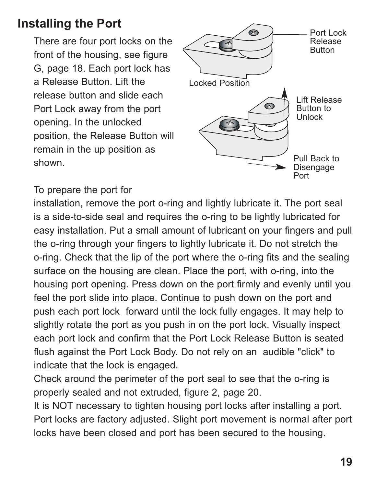### **Installing the Port**

There are four port locks on the front of the housing, see figure G, page 18. Each port lock has a Release Button. Lift the release button and slide each Port Lock away from the port opening. In the unlocked position, the Release Button will remain in the up position as shown.



To prepare the port for

installation, remove the port o-ring and lightly lubricate it. The port seal is a side-to-side seal and requires the o-ring to be lightly lubricated for easy installation. Put a small amount of lubricant on your fingers and pull the o-ring through your fingers to lightly lubricate it. Do not stretch the o-ring. Check that the lip of the port where the o-ring fits and the sealing surface on the housing are clean. Place the port, with o-ring, into the housing port opening. Press down on the port firmly and evenly until you feel the port slide into place. Continue to push down on the port and push each port lock forward until the lock fully engages. It may help to slightly rotate the port as you push in on the port lock. Visually inspect each port lock and confirm that the Port Lock Release Button is seated flush against the Port Lock Body. Do not rely on an audible "click" to indicate that the lock is engaged.

Check around the perimeter of the port seal to see that the o-ring is properly sealed and not extruded, figure 2, page 20.

It is NOT necessary to tighten housing port locks after installing a port. Port locks are factory adjusted. Slight port movement is normal after port locks have been closed and port has been secured to the housing.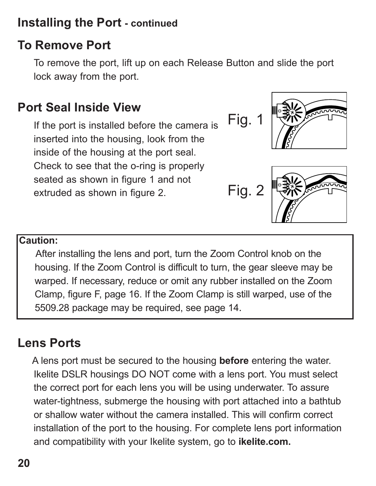#### **Installing the Port - continued**

## **To Remove Port**

To remove the port, lift up on each Release Button and slide the port lock away from the port.

## **Port Seal Inside View**

If the port is installed before the camera is inserted into the housing, look from the inside of the housing at the port seal. Check to see that the o-ring is properly seated as shown in figure 1 and not extruded as shown in figure 2.

Fig. 1 
$$
\mathbb{R}
$$





#### **Caution:**

After installing the lens and port, turn the Zoom Control knob on the housing. If the Zoom Control is difficult to turn, the gear sleeve may be warped. If necessary, reduce or omit any rubber installed on the Zoom Clamp, figure F, page 16. If the Zoom Clamp is still warped, use of the 5509.28 package may be required, see page 14.

### **Lens Ports**

A lens port must be secured to the housing **before** entering the water. Ikelite DSLR housings DO NOT come with a lens port. You must select the correct port for each lens you will be using underwater. To assure water-tightness, submerge the housing with port attached into a bathtub or shallow water without the camera installed. This will confirm correct installation of the port to the housing. For complete lens port information and compatibility with your Ikelite system, go to **ikelite.com.**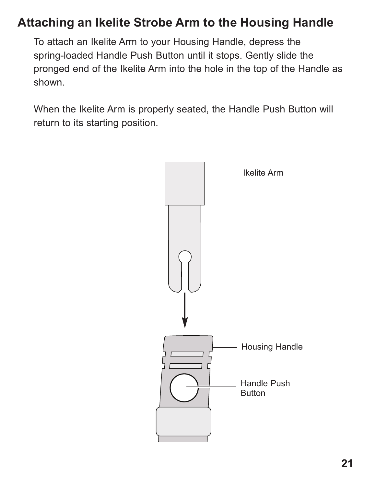#### **Attaching an Ikelite Strobe Arm to the Housing Handle**

To attach an Ikelite Arm to your Housing Handle, depress the spring-loaded Handle Push Button until it stops. Gently slide the pronged end of the Ikelite Arm into the hole in the top of the Handle as shown.

When the Ikelite Arm is properly seated, the Handle Push Button will return to its starting position.

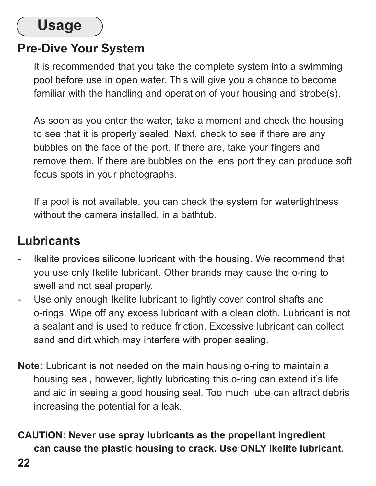# **Usage**

### **Pre-Dive Your System**

It is recommended that you take the complete system into a swimming pool before use in open water. This will give you a chance to become familiar with the handling and operation of your housing and strobe(s).

As soon as you enter the water, take a moment and check the housing to see that it is properly sealed. Next, check to see if there are any bubbles on the face of the port. If there are, take your fingers and remove them. If there are bubbles on the lens port they can produce soft focus spots in your photographs.

If a pool is not available, you can check the system for watertightness without the camera installed, in a bathtub.

#### **Lubricants**

- Ikelite provides silicone lubricant with the housing. We recommend that you use only Ikelite lubricant. Other brands may cause the o-ring to swell and not seal properly.
- Use only enough Ikelite lubricant to lightly cover control shafts and o-rings. Wipe off any excess lubricant with a clean cloth. Lubricant is not a sealant and is used to reduce friction. Excessive lubricant can collect sand and dirt which may interfere with proper sealing.
- **Note:** Lubricant is not needed on the main housing o-ring to maintain a housing seal, however, lightly lubricating this o-ring can extend it's life and aid in seeing a good housing seal. Too much lube can attract debris increasing the potential for a leak.
- **CAUTION: Never use spray lubricants as the propellant ingredient can cause the plastic housing to crack. Use ONLY Ikelite lubricant**.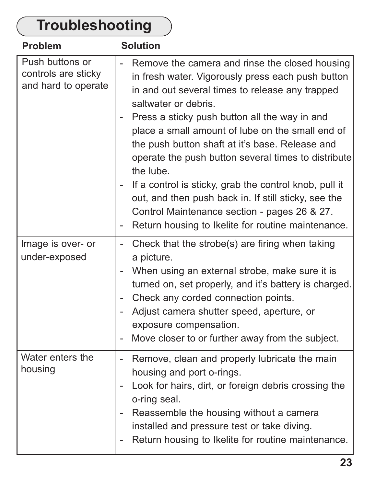#### **Troubleshooting** Push buttons or controls are sticky and hard to operate Remove the camera and rinse the closed housing in fresh water. Vigorously press each push button in and out several times to release any trapped saltwater or debris. - Press a sticky push button all the way in and place a small amount of lube on the small end of the push button shaft at it's base. Release and operate the push button several times to distribute the lube. If a control is sticky, grab the control knob, pull it out, and then push back in. If still sticky, see the Control Maintenance section - pages 26 & 27. - Return housing to Ikelite for routine maintenance. **Problem Solution** Image is over- or under-exposed - Check that the strobe(s) are firing when taking a picture. - When using an external strobe, make sure it is turned on, set properly, and it's battery is charged. - Check any corded connection points. - Adjust camera shutter speed, aperture, or exposure compensation. - Move closer to or further away from the subject. Water enters the housing - Remove, clean and properly lubricate the main housing and port o-rings. - Look for hairs, dirt, or foreign debris crossing the o-ring seal. - Reassemble the housing without a camera installed and pressure test or take diving. Return housing to Ikelite for routine maintenance.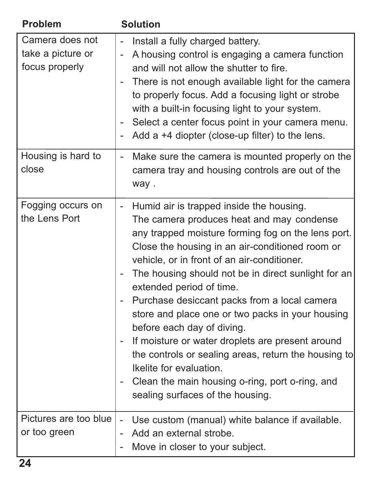| Problem                                                | <b>Solution</b>                                                                                                                                                                                                                                                                                                                                                                                                                                                                                                                                                                                                                                                                                                                                            |
|--------------------------------------------------------|------------------------------------------------------------------------------------------------------------------------------------------------------------------------------------------------------------------------------------------------------------------------------------------------------------------------------------------------------------------------------------------------------------------------------------------------------------------------------------------------------------------------------------------------------------------------------------------------------------------------------------------------------------------------------------------------------------------------------------------------------------|
| Camera does not<br>take a picture or<br>focus properly | Install a fully charged battery.<br>A housing control is engaging a camera function<br>-<br>and will not allow the shutter to fire.<br>There is not enough available light for the camera<br>to properly focus. Add a focusing light or strobe<br>with a built-in focusing light to your system.<br>Select a center focus point in your camera menu.<br>Add a +4 diopter (close-up filter) to the lens.<br>-                                                                                                                                                                                                                                                                                                                                               |
| Housing is hard to<br>close                            | Make sure the camera is mounted properly on the<br>$\overline{\phantom{0}}$<br>camera tray and housing controls are out of the<br>way.                                                                                                                                                                                                                                                                                                                                                                                                                                                                                                                                                                                                                     |
| Fogging occurs on<br>the Lens Port                     | Humid air is trapped inside the housing.<br>$\overline{\phantom{a}}$<br>The camera produces heat and may condense<br>any trapped moisture forming fog on the lens port.<br>Close the housing in an air-conditioned room or<br>vehicle, or in front of an air-conditioner.<br>The housing should not be in direct sunlight for an<br>extended period of time.<br>Purchase desiccant packs from a local camera<br>$\overline{\phantom{0}}$<br>store and place one or two packs in your housing<br>before each day of diving.<br>If moisture or water droplets are present around<br>the controls or sealing areas, return the housing to<br>Ikelite for evaluation.<br>- Clean the main housing o-ring, port o-ring, and<br>sealing surfaces of the housing. |
| Pictures are too blue<br>or too green                  | Use custom (manual) white balance if available.<br>$\overline{a}$<br>Add an external strobe.<br>Move in closer to your subject.                                                                                                                                                                                                                                                                                                                                                                                                                                                                                                                                                                                                                            |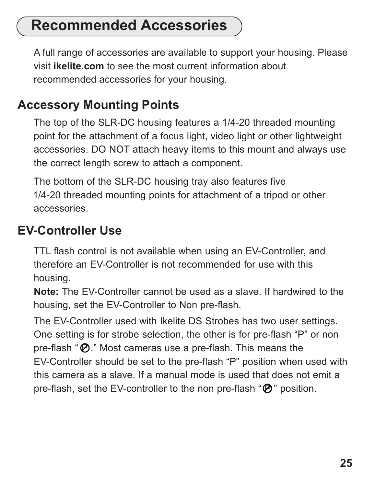# **Recommended Accessories**

A full range of accessories are available to support your housing. Please visit **ikelite.com** to see the most current information about recommended accessories for your housing.

#### **Accessory Mounting Points**

The top of the SLR-DC housing features a 1/4-20 threaded mounting point for the attachment of a focus light, video light or other lightweight accessories. DO NOT attach heavy items to this mount and always use the correct length screw to attach a component.

The bottom of the SLR-DC housing tray also features five 1/4-20 threaded mounting points for attachment of a tripod or other accessories.

#### **EV-Controller Use**

TTL flash control is not available when using an EV-Controller, and therefore an EV-Controller is not recommended for use with this housing.

**Note:** The EV-Controller cannot be used as a slave. If hardwired to the housing, set the EV-Controller to Non pre-flash.

The EV-Controller used with Ikelite DS Strobes has two user settings. One setting is for strobe selection, the other is for pre-flash "P" or non pre-flash " $\mathcal{D}$ ." Most cameras use a pre-flash. This means the EV-Controller should be set to the pre-flash "P" position when used with this camera as a slave. If a manual mode is used that does not emit a pre-flash, set the EV-controller to the non pre-flash " $\mathcal{P}$ " position.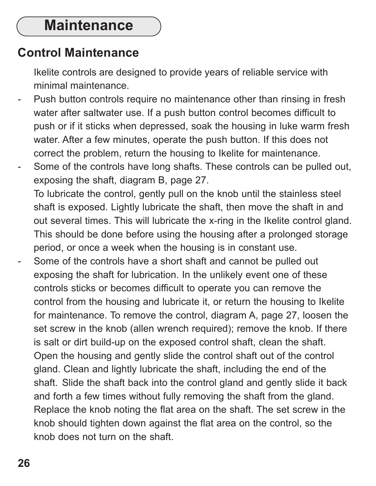# **Maintenance**

#### **Control Maintenance**

Ikelite controls are designed to provide years of reliable service with minimal maintenance.

- Push button controls require no maintenance other than rinsing in fresh water after saltwater use. If a push button control becomes difficult to push or if it sticks when depressed, soak the housing in luke warm fresh water. After a few minutes, operate the push button. If this does not correct the problem, return the housing to Ikelite for maintenance.
- Some of the controls have long shafts. These controls can be pulled out, exposing the shaft, diagram B, page 27. To lubricate the control, gently pull on the knob until the stainless steel shaft is exposed. Lightly lubricate the shaft, then move the shaft in and out several times. This will lubricate the x-ring in the Ikelite control gland. This should be done before using the housing after a prolonged storage period, or once a week when the housing is in constant use.
- Some of the controls have a short shaft and cannot be pulled out exposing the shaft for lubrication. In the unlikely event one of these controls sticks or becomes difficult to operate you can remove the control from the housing and lubricate it, or return the housing to Ikelite for maintenance. To remove the control, diagram A, page 27, loosen the set screw in the knob (allen wrench required); remove the knob. If there is salt or dirt build-up on the exposed control shaft, clean the shaft. Open the housing and gently slide the control shaft out of the control gland. Clean and lightly lubricate the shaft, including the end of the shaft. Slide the shaft back into the control gland and gently slide it back and forth a few times without fully removing the shaft from the gland. Replace the knob noting the flat area on the shaft. The set screw in the knob should tighten down against the flat area on the control, so the knob does not turn on the shaft.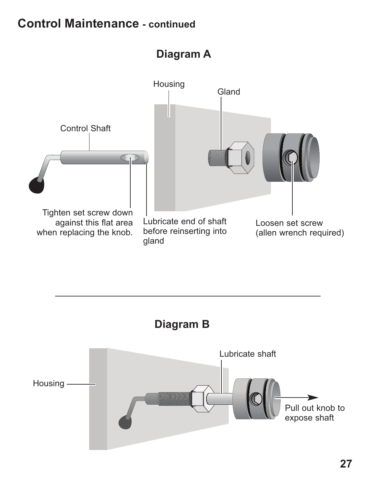### **Control Maintenance - continued**

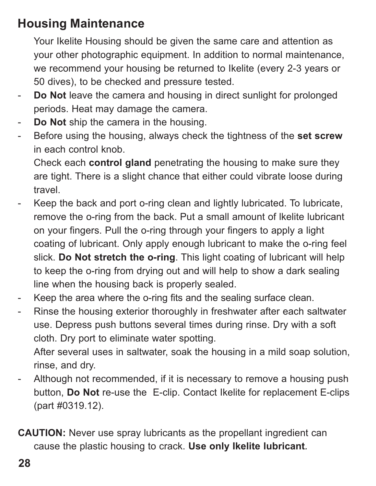## **Housing Maintenance**

Your Ikelite Housing should be given the same care and attention as your other photographic equipment. In addition to normal maintenance, we recommend your housing be returned to Ikelite (every 2-3 years or 50 dives), to be checked and pressure tested.

- **Do Not** leave the camera and housing in direct sunlight for prolonged periods. Heat may damage the camera.
- Do Not ship the camera in the housing.
- Before using the housing, always check the tightness of the **set screw** in each control knob.

Check each **control gland** penetrating the housing to make sure they are tight. There is a slight chance that either could vibrate loose during travel.

- Keep the back and port o-ring clean and lightly lubricated. To lubricate, remove the o-ring from the back. Put a small amount of lkelite lubricant on your fingers. Pull the o-ring through your fingers to apply a light coating of lubricant. Only apply enough lubricant to make the o-ring feel slick. **Do Not stretch the o-ring**. This light coating of lubricant will help to keep the o-ring from drying out and will help to show a dark sealing line when the housing back is properly sealed.
- Keep the area where the o-ring fits and the sealing surface clean.
- Rinse the housing exterior thoroughly in freshwater after each saltwater use. Depress push buttons several times during rinse. Dry with a soft cloth. Dry port to eliminate water spotting.

After several uses in saltwater, soak the housing in a mild soap solution, rinse, and dry.

- Although not recommended, if it is necessary to remove a housing push button, **Do Not** re-use the E-clip. Contact Ikelite for replacement E-clips (part #0319.12).
- **CAUTION:** Never use spray lubricants as the propellant ingredient can cause the plastic housing to crack. **Use only Ikelite lubricant***.*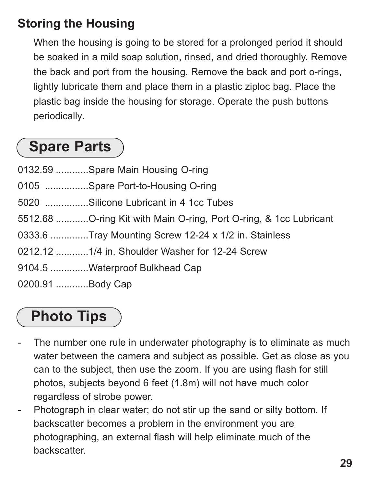# **Storing the Housing**

When the housing is going to be stored for a prolonged period it should be soaked in a mild soap solution, rinsed, and dried thoroughly. Remove the back and port from the housing. Remove the back and port o-rings, lightly lubricate them and place them in a plastic ziploc bag. Place the plastic bag inside the housing for storage. Operate the push buttons periodically.

# **Spare Parts**

- 0132.59 ............Spare Main Housing O-ring
- 0105 ................Spare Port-to-Housing O-ring
- 5020 ................Silicone Lubricant in 4 1cc Tubes
- 5512.68 ............O-ring Kit with Main O-ring, Port O-ring, & 1cc Lubricant
- 0333.6 ..............Tray Mounting Screw 12-24 x 1/2 in. Stainless
- 0212.12 ............1/4 in. Shoulder Washer for 12-24 Screw
- 9104.5 ..............Waterproof Bulkhead Cap
- 0200.91 ............Body Cap

# **Photo Tips**

- The number one rule in underwater photography is to eliminate as much water between the camera and subject as possible. Get as close as you can to the subject, then use the zoom. If you are using flash for still photos, subjects beyond 6 feet (1.8m) will not have much color regardless of strobe power.
- Photograph in clear water; do not stir up the sand or silty bottom. If backscatter becomes a problem in the environment you are photographing, an external flash will help eliminate much of the backscatter.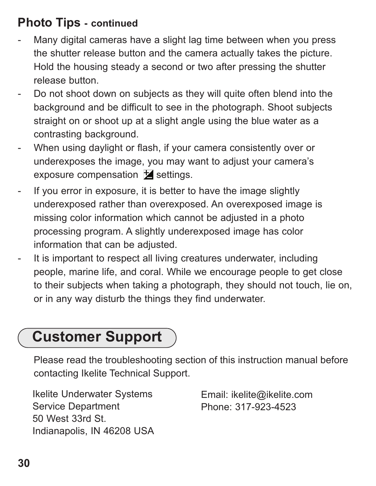## **Photo Tips - continued**

- Many digital cameras have a slight lag time between when you press the shutter release button and the camera actually takes the picture. Hold the housing steady a second or two after pressing the shutter release button.
- Do not shoot down on subjects as they will quite often blend into the background and be difficult to see in the photograph. Shoot subjects straight on or shoot up at a slight angle using the blue water as a contrasting background.
- When using daylight or flash, if your camera consistently over or underexposes the image, you may want to adjust your camera's exposure compensation  $\overline{\mathbf{z}}$  settings.
- If you error in exposure, it is better to have the image slightly underexposed rather than overexposed. An overexposed image is missing color information which cannot be adjusted in a photo processing program. A slightly underexposed image has color information that can be adjusted.
- It is important to respect all living creatures underwater, including people, marine life, and coral. While we encourage people to get close to their subjects when taking a photograph, they should not touch, lie on, or in any way disturb the things they find underwater.

# **Customer Support**

Please read the troubleshooting section of this instruction manual before contacting Ikelite Technical Support.

Ikelite Underwater Systems Service Department 50 West 33rd St. Indianapolis, IN 46208 USA Email: ikelite@ikelite.com Phone: 317-923-4523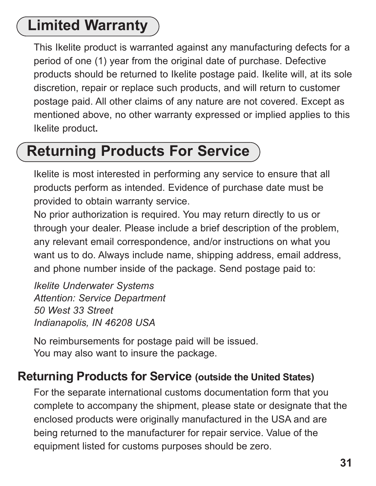# **Limited Warranty**

This Ikelite product is warranted against any manufacturing defects for a period of one (1) year from the original date of purchase. Defective products should be returned to Ikelite postage paid. Ikelite will, at its sole discretion, repair or replace such products, and will return to customer postage paid. All other claims of any nature are not covered. Except as mentioned above, no other warranty expressed or implied applies to this Ikelite product**.**

# **Returning Products For Service**

Ikelite is most interested in performing any service to ensure that all products perform as intended. Evidence of purchase date must be provided to obtain warranty service.

No prior authorization is required. You may return directly to us or through your dealer. Please include a brief description of the problem, any relevant email correspondence, and/or instructions on what you want us to do. Always include name, shipping address, email address, and phone number inside of the package. Send postage paid to:

*Ikelite Underwater Systems Attention: Service Department 50 West 33 Street Indianapolis, IN 46208 USA*

No reimbursements for postage paid will be issued. You may also want to insure the package.

#### **Returning Products for Service (outside the United States)**

For the separate international customs documentation form that you complete to accompany the shipment, please state or designate that the enclosed products were originally manufactured in the USA and are being returned to the manufacturer for repair service. Value of the equipment listed for customs purposes should be zero.